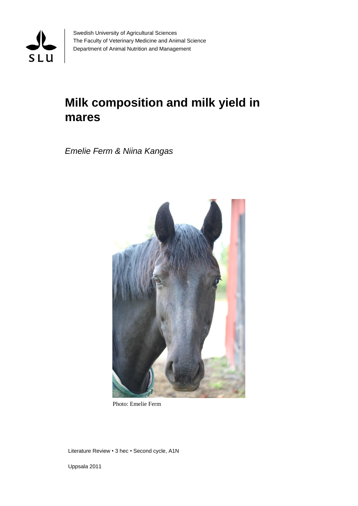

Swedish University of Agricultural Sciences The Faculty of Veterinary Medicine and Animal Science Department of Animal Nutrition and Management

# **Milk composition and milk yield in mares**

*Emelie Ferm & Niina Kangas*



Photo: Emelie Ferm

Literature Review • 3 hec • Second cycle, A1N

Uppsala 2011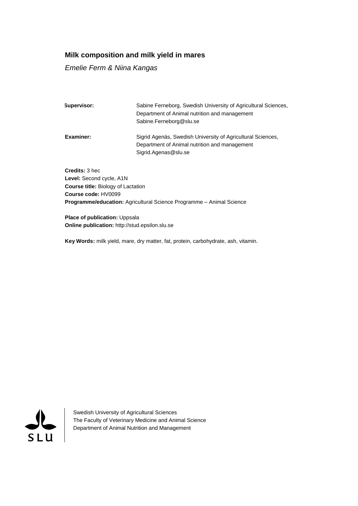## **Milk composition and milk yield in mares**

#### *Emelie Ferm & Niina Kangas*

| Supervisor: | Sabine Ferneborg, Swedish University of Agricultural Sciences, |  |  |  |  |
|-------------|----------------------------------------------------------------|--|--|--|--|
|             | Department of Animal nutrition and management                  |  |  |  |  |
|             | Sabine.Ferneborg@slu.se                                        |  |  |  |  |
| Examiner:   | Sigrid Agenäs, Swedish University of Agricultural Sciences,    |  |  |  |  |
|             | Department of Animal nutrition and management                  |  |  |  |  |
|             | Sigrid.Agenas@slu.se                                           |  |  |  |  |
|             |                                                                |  |  |  |  |
|             |                                                                |  |  |  |  |

**Credits:** 3 hec **Level:** Second cycle, A1N **Course title:** Biology of Lactation **Course code:** HV0099 **Programme/education:** Agricultural Science Programme – Animal Science

**Place of publication:** Uppsala **Online publication:** http://stud.epsilon.slu.se

**Key Words:** milk yield, mare, dry matter, fat, protein, carbohydrate, ash, vitamin.



Swedish University of Agricultural Sciences The Faculty of Veterinary Medicine and Animal Science Department of Animal Nutrition and Management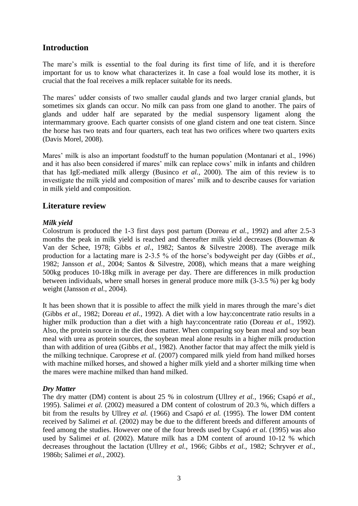# **Introduction**

The mare's milk is essential to the foal during its first time of life, and it is therefore important for us to know what characterizes it. In case a foal would lose its mother, it is crucial that the foal receives a milk replacer suitable for its needs.

The mares' udder consists of two smaller caudal glands and two larger cranial glands, but sometimes six glands can occur. No milk can pass from one gland to another. The pairs of glands and udder half are separated by the medial suspensory ligament along the intermammary groove. Each quarter consists of one gland cistern and one teat cistern. Since the horse has two teats and four quarters, each teat has two orifices where two quarters exits (Davis Morel, 2008).

Mares' milk is also an important foodstuff to the human population (Montanari et al., 1996) and it has also been considered if mares' milk can replace cows' milk in infants and children that has IgE-mediated milk allergy (Businco *et al.*, 2000). The aim of this review is to investigate the milk yield and composition of mares' milk and to describe causes for variation in milk yield and composition.

# **Literature review**

## *Milk yield*

Colostrum is produced the 1-3 first days post partum (Doreau *et al.*, 1992) and after 2.5-3 months the peak in milk yield is reached and thereafter milk yield decreases (Bouwman & Van der Schee, 1978; Gibbs *et al.*, 1982; Santos & Silvestre 2008). The average milk production for a lactating mare is 2-3.5 % of the horse's bodyweight per day (Gibbs *et al.*, 1982; Jansson *et al.*, 2004; Santos & Silvestre, 2008), which means that a mare weighing 500kg produces 10-18kg milk in average per day. There are differences in milk production between individuals, where small horses in general produce more milk (3-3.5 %) per kg body weight (Jansson *et al.*, 2004).

It has been shown that it is possible to affect the milk yield in mares through the mare's diet (Gibbs *et al.*, 1982; Doreau *et al.*, 1992). A diet with a low hay:concentrate ratio results in a higher milk production than a diet with a high hay:concentrate ratio (Doreau *et al.*, 1992). Also, the protein source in the diet does matter. When comparing soy bean meal and soy bean meal with urea as protein sources, the soybean meal alone results in a higher milk production than with addition of urea (Gibbs *et al.*, 1982). Another factor that may affect the milk yield is the milking technique. Caroprese *et al.* (2007) compared milk yield from hand milked horses with machine milked horses, and showed a higher milk yield and a shorter milking time when the mares were machine milked than hand milked.

## *Dry Matter*

The dry matter (DM) content is about 25 % in colostrum (Ullrey *et al.*, 1966; Csapó *et al.*, 1995). Salimei *et al.* (2002) measured a DM content of colostrum of 20.3 %, which differs a bit from the results by Ullrey *et al.* (1966) and Csapó *et al.* (1995). The lower DM content received by Salimei *et al.* (2002) may be due to the different breeds and different amounts of feed among the studies. However one of the four breeds used by Csapó *et al.* (1995) was also used by Salimei *et al.* (2002). Mature milk has a DM content of around 10-12 % which decreases throughout the lactation (Ullrey *et al.*, 1966; Gibbs *et al.*, 1982; Schryver *et al.*, 1986b; Salimei *et al.*, 2002).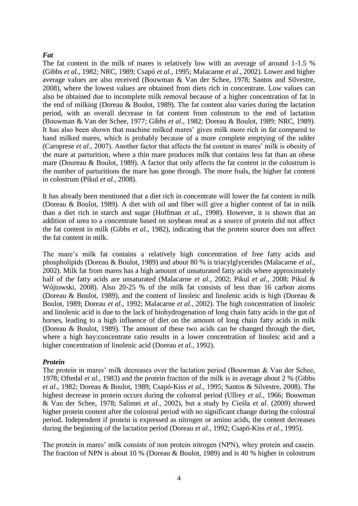#### *Fat*

The fat content in the milk of mares is relatively low with an average of around 1-1.5 % (Gibbs *et al.*, 1982; NRC, 1989; Csapó *et al.*, 1995; Malacarne *et al.*, 2002). Lower and higher average values are also received (Bouwman & Van der Schee, 1978; Santos and Silvestre, 2008), where the lowest values are obtained from diets rich in concentrate. Low values can also be obtained due to incomplete milk removal because of a higher concentration of fat in the end of milking (Doreau & Boulot, 1989). The fat content also varies during the lactation period, with an overall decrease in fat content from colostrum to the end of lactation (Bouwman & Van der Schee, 1977; Gibbs *et al.*, 1982; Doreau & Boulot, 1989; NRC, 1989). It has also been shown that machine milked mares' gives milk more rich in fat compared to hand milked mares, which is probably because of a more complete emptying of the udder (Caroprese *et al.*, 2007). Another factor that affects the fat content in mares' milk is obesity of the mare at parturition, where a thin mare produces milk that contains less fat than an obese mare (Doureau & Boulot, 1989). A factor that only affects the fat content in the colostrum is the number of parturitions the mare has gone through. The more foals, the higher fat content in colostrum (Pikul *et al.*, 2008).

It has already been mentioned that a diet rich in concentrate will lower the fat content in milk (Doreau & Boulot, 1989). A diet with oil and fiber will give a higher content of fat in milk than a diet rich in starch and sugar (Hoffman *et al.*, 1998). However, it is shown that an addition of urea to a concentrate based on soybean meal as a source of protein did not affect the fat content in milk (Gibbs *et al.*, 1982), indicating that the protein source does not affect the fat content in milk.

The mare's milk fat contains a relatively high concentration of free fatty acids and phospholipids (Doreau & Boulot, 1989) and about 80 % is triacylglycerides (Malacarne *et al.*, 2002). Milk fat from mares has a high amount of unsaturated fatty acids where approximately half of the fatty acids are unsaturated (Malacarne *et al.*, 2002; Pikul *et al.*, 2008; Pikul & Wójtowski, 2008). Also 20-25 % of the milk fat consists of less than 16 carbon atoms (Doreau & Boulot, 1989), and the content of linoleic and linolenic acids is high (Doreau & Boulot, 1989; Doreau *et al.*, 1992; Malacarne *et al.*, 2002). The high concentration of linoleic and linolenic acid is due to the lack of biohydrogenation of long chain fatty acids in the gut of horses, leading to a high influence of diet on the amount of long chain fatty acids in milk (Doreau & Boulot, 1989). The amount of these two acids can be changed through the diet, where a high hay:concentrate ratio results in a lower concentration of linoleic acid and a higher concentration of linolenic acid (Doreau *et al.*, 1992).

#### *Protein*

The protein in mares' milk decreases over the lactation period (Bouwman & Van der Schee, 1978; Oftedal *et al.*, 1983) and the protein fraction of the milk is in average about 2 % (Gibbs *et al.*, 1982; Doreau & Boulot, 1989; Csapó-Kiss *et al.*, 1995; Santos & Silvestre, 2008). The highest decrease in protein occurs during the colostral period (Ullrey *et al.*, 1966; Bouwman & Van der Schee, 1978; Salimei *et al.*, 2002), but a study by Cieśla *et al.* (2009) showed higher protein content after the colostral period with no significant change during the colostral period. Independent if protein is expressed as nitrogen or amino acids, the content decreases during the beginning of the lactation period (Doreau *et al.*, 1992; Csapó-Kiss *et al.*, 1995).

The protein in mares' milk consists of non protein nitrogen (NPN), whey protein and casein. The fraction of NPN is about 10 % (Doreau & Boulot, 1989) and is 40 % higher in colostrum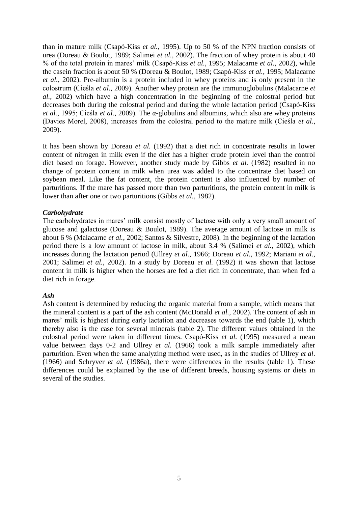than in mature milk (Csapó-Kiss *et al.*, 1995). Up to 50 % of the NPN fraction consists of urea (Doreau & Boulot, 1989; Salimei *et al.*, 2002). The fraction of whey protein is about 40 % of the total protein in mares' milk (Csapó-Kiss *et al.*, 1995; Malacarne *et al.*, 2002), while the casein fraction is about 50 % (Doreau & Boulot, 1989; Csapó-Kiss *et al.*, 1995; Malacarne *et al.*, 2002). Pre-albumin is a protein included in whey proteins and is only present in the colostrum (Cieśla *et al.*, 2009). Another whey protein are the immunoglobulins (Malacarne *et al.*, 2002) which have a high concentration in the beginning of the colostral period but decreases both during the colostral period and during the whole lactation period (Csapó-Kiss *et al.*, 1995; Cieśla *et al.*, 2009). The α-globulins and albumins, which also are whey proteins (Davies Morel, 2008), increases from the colostral period to the mature milk (Cieśla *et al.*, 2009).

It has been shown by Doreau *et al.* (1992) that a diet rich in concentrate results in lower content of nitrogen in milk even if the diet has a higher crude protein level than the control diet based on forage. However, another study made by Gibbs *et al.* (1982) resulted in no change of protein content in milk when urea was added to the concentrate diet based on soybean meal. Like the fat content, the protein content is also influenced by number of parturitions. If the mare has passed more than two parturitions, the protein content in milk is lower than after one or two parturitions (Gibbs *et al.*, 1982).

#### *Carbohydrate*

The carbohydrates in mares' milk consist mostly of lactose with only a very small amount of glucose and galactose (Doreau & Boulot, 1989). The average amount of lactose in milk is about 6 % (Malacarne *et al.*, 2002; Santos & Silvestre, 2008). In the beginning of the lactation period there is a low amount of lactose in milk, about 3.4 % (Salimei *et al.*, 2002), which increases during the lactation period (Ullrey *et al.*, 1966; Doreau *et al.*, 1992; Mariani *et al.*, 2001; Salimei *et al.*, 2002). In a study by Doreau *et al.* (1992) it was shown that lactose content in milk is higher when the horses are fed a diet rich in concentrate, than when fed a diet rich in forage.

## *Ash*

Ash content is determined by reducing the organic material from a sample, which means that the mineral content is a part of the ash content (McDonald *et al.,* 2002). The content of ash in mares' milk is highest during early lactation and decreases towards the end (table 1), which thereby also is the case for several minerals (table 2). The different values obtained in the colostral period were taken in different times. Csapó-Kiss *et al.* (1995) measured a mean value between days 0-2 and Ullrey *et al.* (1966) took a milk sample immediately after parturition. Even when the same analyzing method were used, as in the studies of Ullrey *et al*. (1966) and Schryver *et al.* (1986a), there were differences in the results (table 1). These differences could be explained by the use of different breeds, housing systems or diets in several of the studies.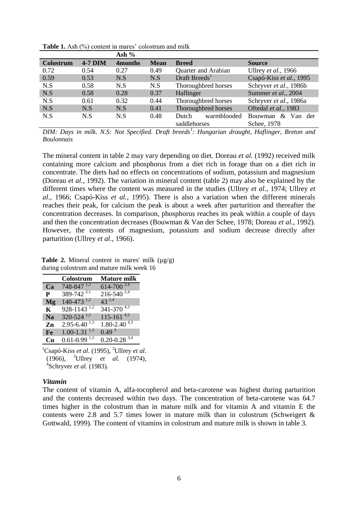|           |           | Ash $%$             |             |                           |                         |
|-----------|-----------|---------------------|-------------|---------------------------|-------------------------|
| Colostrum | $4-7$ DIM | 4 <sub>months</sub> | <b>Mean</b> | <b>Breed</b>              | <b>Source</b>           |
| 0.72      | 0.54      | 0.27                | 0.49        | Quarter and Arabian       | Ullrey et al., 1966     |
| 0.59      | 0.53      | N.S                 | N.S         | Draft Breeds <sup>1</sup> | Csapó-Kiss et al., 1995 |
| N.S       | 0.58      | N.S                 | N.S         | Thoroughbred horses       | Schryver et al., 1986b  |
| N.S       | 0.58      | 0.28                | 0.37        | Haflinger                 | Summer et al., 2004     |
| N.S       | 0.61      | 0.32                | 0.44        | Thoroughbred horses       | Schryver et al., 1986a  |
| N.S       | N.S       | N.S                 | 0.41        | Thoroughbred horses       | Oftedal et al., 1983    |
| N.S       | N.S       | N.S                 | 0.48        | warmblooded<br>Dutch      | $\&$ Van der<br>Bouwman |
|           |           |                     |             | saddlehorses              | Schee, 1978             |

Table 1. Ash (%) content in mares' colostrum and milk

*DIM: Days in milk. N.S: Not Specified. Draft breeds<sup>1</sup> : Hungarian draught, Haflinger, Breton and Boulonnais*

The mineral content in table 2 may vary depending on diet. Doreau *et al.* (1992) received milk containing more calcium and phosphorus from a diet rich in forage than on a diet rich in concentrate. The diets had no effects on concentrations of sodium, potassium and magnesium (Doreau *et al.,* 1992). The variation in mineral content (table 2) may also be explained by the different times where the content was measured in the studies (Ullrey *et al.*, 1974; Ullrey *et al.*, 1966; Csapó-Kiss *et al.*, 1995). There is also a variation when the different minerals reaches their peak, for calcium the peak is about a week after parturition and thereafter the concentration decreases. In comparison, phosphorus reaches its peak within a couple of days and then the concentration decreases (Bouwman & Van der Schee, 1978; Doreau *et al.*, 1992). However, the contents of magnesium, potassium and sodium decrease directly after parturition (Ullrey *et al*., 1966).

**Table 2.** Mineral content in mares' milk  $(\mu \varrho / g)$ during colostrum and mature milk week 16

|                | Colostrum                                 | <b>Mature milk</b>           |
|----------------|-------------------------------------------|------------------------------|
| Ca             | $748 - 847$ <sup>1,2</sup>                | $614 - 700^{2,4}$            |
| P              | 389-742 <sup>2,1</sup>                    | $216 - 540^{2,4}$            |
| Mg             | $140-473$ <sup>1,2</sup>                  | $43^{2,4}$                   |
| K              | $928 - 1143$ <sup>1,2</sup>               | $341 - 370^{4,3}$            |
| N <sub>a</sub> | $320 - 524$ <sup>1,2</sup>                | $115 - 161^{4,2}$            |
| Zn             | $2.95 - 6.40^{1,3}$                       | $1.80 - 2.40^{4,3}$          |
| Fe             | $1.00 - 1.31$ <sup>1,3</sup>              | 0.49 <sup>3</sup>            |
| Cn             | $0.61 - 0.99$ <sup><math>1,3</math></sup> | $0.20 - 0.28$ <sup>3,4</sup> |

<sup>1</sup>Csapó-Kiss *et al.* (1995), <sup>2</sup>Ullrey *et al*. (1966), <sup>3</sup>Ullrey *et al.* (1974), 4 Schryver *et al.* (1983).

#### *Vitamin*

The content of vitamin A, alfa-tocopherol and beta-carotene was highest during parturition and the contents decreased within two days. The concentration of beta-carotene was 64.7 times higher in the colostrum than in mature milk and for vitamin A and vitamin E the contents were 2.8 and 5.7 times lower in mature milk than in colostrum (Schweigert  $\&$ Gottwald, 1999). The content of vitamins in colostrum and mature milk is shown in table 3.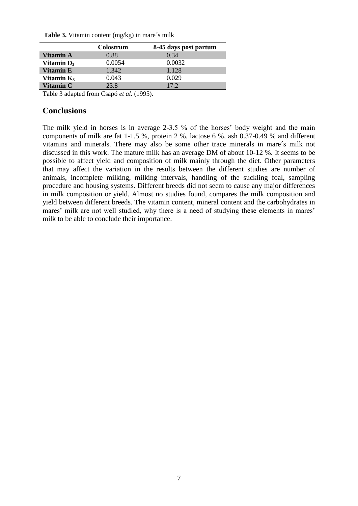**Table 3.** Vitamin content (mg/kg) in mare´s milk

|                  | Colostrum | 8-45 days post partum |
|------------------|-----------|-----------------------|
| <b>Vitamin A</b> | 0.88      | 0.34                  |
| Vitamin $D_3$    | 0.0054    | 0.0032                |
| <b>Vitamin E</b> | 1.342     | 1.128                 |
| Vitamin $K_3$    | 0.043     | 0.029                 |
| <b>Vitamin C</b> | 23.8      | 17.2                  |

Table 3 adapted from Csapó *et al.* (1995).

## **Conclusions**

The milk yield in horses is in average 2-3.5 % of the horses' body weight and the main components of milk are fat 1-1.5 %, protein 2 %, lactose 6 %, ash 0.37-0.49 % and different vitamins and minerals. There may also be some other trace minerals in mare´s milk not discussed in this work. The mature milk has an average DM of about 10-12 %. It seems to be possible to affect yield and composition of milk mainly through the diet. Other parameters that may affect the variation in the results between the different studies are number of animals, incomplete milking, milking intervals, handling of the suckling foal, sampling procedure and housing systems. Different breeds did not seem to cause any major differences in milk composition or yield. Almost no studies found, compares the milk composition and yield between different breeds. The vitamin content, mineral content and the carbohydrates in mares' milk are not well studied, why there is a need of studying these elements in mares' milk to be able to conclude their importance.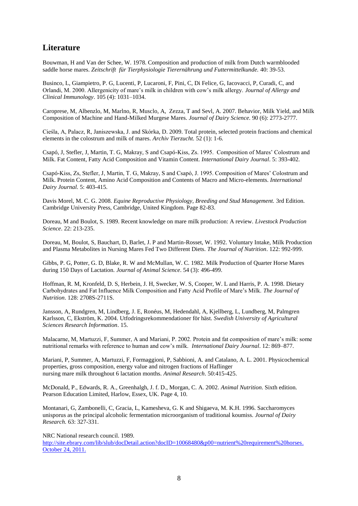# **Literature**

Bouwman, H and Van der Schee, W. 1978. Composition and production of milk from Dutch warmblooded saddle horse mares. *Zeitschrift für Tierphysiologie Tierernährung und Futtermittelkunde.* 40: 39-53.

Businco, L, Giampietro, P. G, Lucenti, P, Lucaroni, F, Pini, C, Di Felice, G, Iacovacci, P, Curadi, C, and Orlandi, M. 2000. Allergenicity of mare's milk in children with cow's milk allergy. *Journal of Allergy and Clinical Immunology*. 105 (4): 1031–1034.

Caroprese, M, Albenzlo, M, Marlno, R, Musclo, A, Zezza, T and Sevl, A. 2007. Behavior, Milk Yield, and Milk Composition of Machine and Hand-Milked Murgese Mares. *Journal of Dairy Science.* 90 (6): 2773-2777.

Cieśla, A, Palacz, R, Janiszewska, J. and Skórka, D. 2009. Total protein, selected protein fractions and chemical elements in the colostrum and milk of mares. *Archiv Tierzucht.* 52 (1): 1-6.

Csapó, J, Stefler, J, Martin, T. G, Makray, S and Csapó-Kiss, Zs. 1995. Composition of Mares' Colostrum and Milk. Fat Content, Fatty Acid Composition and Vitamin Content. *International Dairy Journal*. 5: 393-402.

Csapó-Kiss, Zs, Stefler, J, Martin, T. G, Makray, S and Csapó, J. 1995. Composition of Mares' Colostrum and Milk. Protein Content, Amino Acid Composition and Contents of Macro and Micro-elements. *International Dairy Journal.* 5: 403-415.

Davis Morel, M. C. G. 2008. *Equine Reproductive Physiology, Breeding and Stud Management.* 3rd Edition. Cambridge University Press, Cambridge, United Kingdom. Page 82-83.

Doreau, M and Boulot, S. 1989. Recent knowledge on mare milk production: A review. *Livestock Production Science*. 22: 213-235.

Doreau, M, Boulot, S, Bauchart, D, Barlet, J. P and Martin-Rosset, W. 1992. Voluntary Intake, Milk Production and Plasma Metabolites in Nursing Mares Fed Two Different Diets. *The Journal of Nutrition*. 122: 992-999.

Gibbs, P. G, Potter, G. D, Blake, R. W and McMullan, W. C. 1982. Milk Production of Quarter Horse Mares during 150 Days of Lactation. *Journal of Animal Science*. 54 (3): 496-499.

Hoffman, R. M, Kronfeld, D. S, Herbein, J. H, Swecker, W. S, Cooper, W. L and Harris, P. A. 1998. Dietary Carbohydrates and Fat Influence Milk Composition and Fatty Acid Profile of Mare's Milk. *The Journal of Nutrition*. 128: 2708S-2711S.

Jansson, A, Rundgren, M, Lindberg, J. E, Ronéus, M, Hedendahl, A, Kjellberg, L, Lundberg, M, Palmgren Karlsson, C, Ekström, K. 2004. Utfodringsrekommendationer för häst. *Swedish University of Agricultural Sciences Research Information*. 15.

Malacarne, M, Martuzzi, F, Summer, A and Mariani, P. 2002. Protein and fat composition of mare's milk: some nutritional remarks with reference to human and cow's milk. *International Dairy Journal*. 12: 869–877.

Mariani, P, Summer, A, Martuzzi, F, Formaggioni, P, Sabbioni, A. and Catalano, A. L. 2001. Physicochemical properties, gross composition, energy value and nitrogen fractions of Haflinger nursing mare milk throughout 6 lactation months. *Animal Research*. 50:415-425.

McDonald, P., Edwards, R. A., Greenhalgh, J. f. D., Morgan, C. A. 2002. *Animal Nutrition*. Sixth edition. Pearson Education Limited, Harlow, Essex, UK. Page 4, 10.

Montanari, G, Zambonelli, C, Gracia, L, Kamesheva, G. K and Shigaeva, M. K.H. 1996. Saccharomyces unisporus as the principal alcoholic fermentation microorganism of traditional koumiss. *Journal of Dairy Research.* 63: 327-331.

NRC National research council. 1989.

[http://site.ebrary.com/lib/slub/docDetail.action?docID=10068480&p00=nutrient%20requirement%20horses.](http://site.ebrary.com/lib/slub/docDetail.action?docID=10068480&p00=nutrient%20requirement%20horses) October 24, 2011.